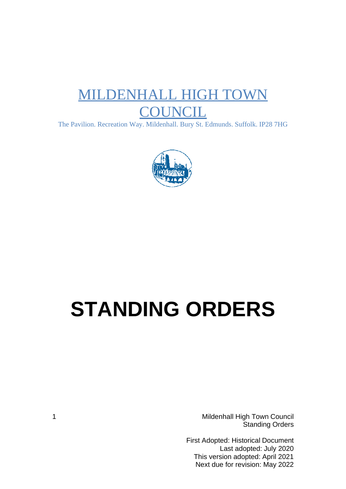## MILDENHALL HIGH TOWN **COUNCIL**

The Pavilion. Recreation Way. Mildenhall. Bury St. Edmunds. Suffolk. IP28 7HG



# **STANDING ORDERS**

1 Mildenhall High Town Council Standing Orders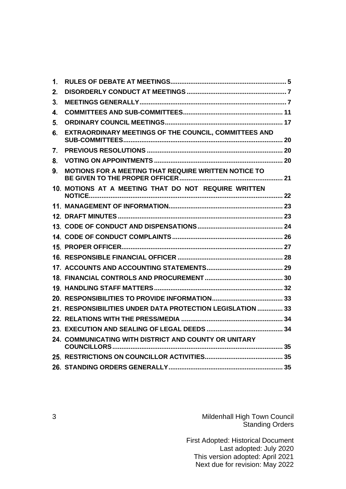| 1. |                                                            |  |
|----|------------------------------------------------------------|--|
| 2. |                                                            |  |
| 3. |                                                            |  |
| 4. |                                                            |  |
| 5. |                                                            |  |
| 6. | EXTRAORDINARY MEETINGS OF THE COUNCIL, COMMITTEES AND      |  |
| 7. |                                                            |  |
| 8. |                                                            |  |
| 9. | MOTIONS FOR A MEETING THAT REQUIRE WRITTEN NOTICE TO       |  |
|    | 10. MOTIONS AT A MEETING THAT DO NOT REQUIRE WRITTEN       |  |
|    |                                                            |  |
|    |                                                            |  |
|    |                                                            |  |
|    |                                                            |  |
|    |                                                            |  |
|    |                                                            |  |
|    |                                                            |  |
|    |                                                            |  |
|    |                                                            |  |
|    |                                                            |  |
|    | 21. RESPONSIBILITIES UNDER DATA PROTECTION LEGISLATION  33 |  |
|    |                                                            |  |
|    |                                                            |  |
|    | 24. COMMUNICATING WITH DISTRICT AND COUNTY OR UNITARY      |  |
|    |                                                            |  |
|    |                                                            |  |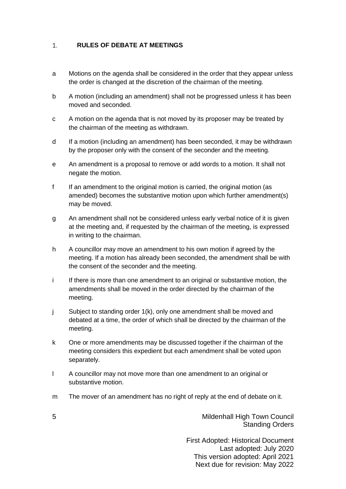#### <span id="page-4-0"></span> $1.$ **RULES OF DEBATE AT MEETINGS**

- a Motions on the agenda shall be considered in the order that they appear unless the order is changed at the discretion of the chairman of the meeting.
- b A motion (including an amendment) shall not be progressed unless it has been moved and seconded.
- c A motion on the agenda that is not moved by its proposer may be treated by the chairman of the meeting as withdrawn.
- d If a motion (including an amendment) has been seconded, it may be withdrawn by the proposer only with the consent of the seconder and the meeting.
- e An amendment is a proposal to remove or add words to a motion. It shall not negate the motion.
- f If an amendment to the original motion is carried, the original motion (as amended) becomes the substantive motion upon which further amendment(s) may be moved.
- g An amendment shall not be considered unless early verbal notice of it is given at the meeting and, if requested by the chairman of the meeting, is expressed in writing to the chairman.
- h A councillor may move an amendment to his own motion if agreed by the meeting. If a motion has already been seconded, the amendment shall be with the consent of the seconder and the meeting.
- i If there is more than one amendment to an original or substantive motion, the amendments shall be moved in the order directed by the chairman of the meeting.
- j Subject to standing order 1(k), only one amendment shall be moved and debated at a time, the order of which shall be directed by the chairman of the meeting.
- k One or more amendments may be discussed together if the chairman of the meeting considers this expedient but each amendment shall be voted upon separately.
- l A councillor may not move more than one amendment to an original or substantive motion.
- m The mover of an amendment has no right of reply at the end of debate on it.

5 Mildenhall High Town Council Standing Orders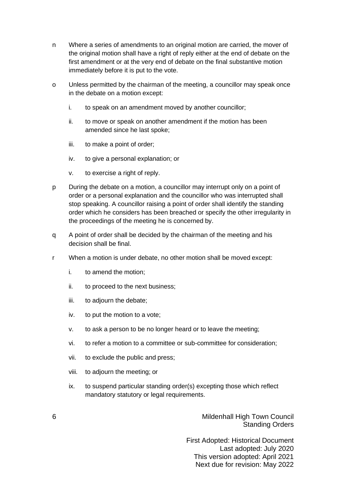- n Where a series of amendments to an original motion are carried, the mover of the original motion shall have a right of reply either at the end of debate on the first amendment or at the very end of debate on the final substantive motion immediately before it is put to the vote.
- o Unless permitted by the chairman of the meeting, a councillor may speak once in the debate on a motion except:
	- i. to speak on an amendment moved by another councillor;
	- ii. to move or speak on another amendment if the motion has been amended since he last spoke;
	- iii. to make a point of order;
	- iv. to give a personal explanation; or
	- v. to exercise a right of reply.
- p During the debate on a motion, a councillor may interrupt only on a point of order or a personal explanation and the councillor who was interrupted shall stop speaking. A councillor raising a point of order shall identify the standing order which he considers has been breached or specify the other irregularity in the proceedings of the meeting he is concerned by.
- q A point of order shall be decided by the chairman of the meeting and his decision shall be final.
- r When a motion is under debate, no other motion shall be moved except:
	- i. to amend the motion;
	- ii. to proceed to the next business;
	- iii. to adjourn the debate;
	- iv. to put the motion to a vote;
	- v. to ask a person to be no longer heard or to leave the meeting;
	- vi. to refer a motion to a committee or sub-committee for consideration;
	- vii. to exclude the public and press;
	- viii. to adjourn the meeting; or
	- ix. to suspend particular standing order(s) excepting those which reflect mandatory statutory or legal requirements.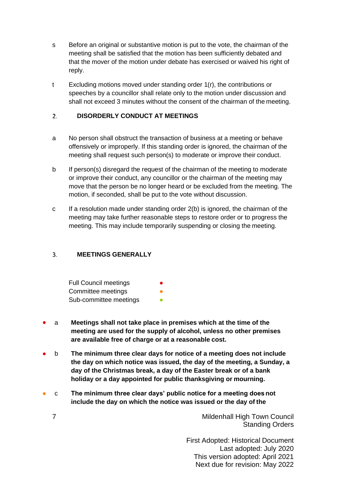- s Before an original or substantive motion is put to the vote, the chairman of the meeting shall be satisfied that the motion has been sufficiently debated and that the mover of the motion under debate has exercised or waived his right of reply.
- t Excluding motions moved under standing order 1(r), the contributions or speeches by a councillor shall relate only to the motion under discussion and shall not exceed 3 minutes without the consent of the chairman of the meeting.

#### <span id="page-6-0"></span>**DISORDERLY CONDUCT AT MEETINGS**  $2.$

- a No person shall obstruct the transaction of business at a meeting or behave offensively or improperly. If this standing order is ignored, the chairman of the meeting shall request such person(s) to moderate or improve their conduct.
- b If person(s) disregard the request of the chairman of the meeting to moderate or improve their conduct, any councillor or the chairman of the meeting may move that the person be no longer heard or be excluded from the meeting. The motion, if seconded, shall be put to the vote without discussion.
- c If a resolution made under standing order 2(b) is ignored, the chairman of the meeting may take further reasonable steps to restore order or to progress the meeting. This may include temporarily suspending or closing the meeting.

#### <span id="page-6-1"></span> $\overline{3}$ . **MEETINGS GENERALLY**

| <b>Full Council meetings</b> | ● |
|------------------------------|---|
| Committee meetings           |   |
| Sub-committee meetings       |   |

- a **Meetings shall not take place in premises which at the time of the meeting are used for the supply of alcohol, unless no other premises are available free of charge or at a reasonable cost.**
- b **The minimum three clear days for notice of a meeting does not include the day on which notice was issued, the day of the meeting, a Sunday, a day of the Christmas break, a day of the Easter break or of a bank holiday or a day appointed for public thanksgiving or mourning.**
- c **The minimum three clear days' public notice for a meeting does not include the day on which the notice was issued or the day of the**

7 Mildenhall High Town Council Standing Orders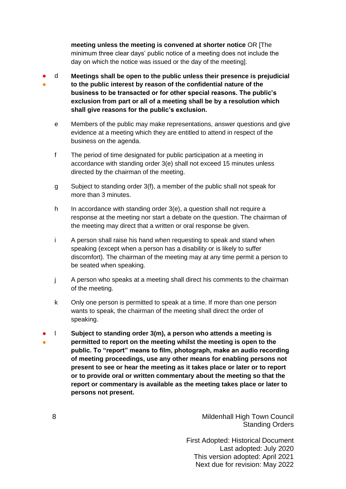**meeting unless the meeting is convened at shorter notice** OR [The minimum three clear days' public notice of a meeting does not include the day on which the notice was issued or the day of the meeting].

- ● d **Meetings shall be open to the public unless their presence is prejudicial to the public interest by reason of the confidential nature of the business to be transacted or for other special reasons. The public's exclusion from part or all of a meeting shall be by a resolution which shall give reasons for the public's exclusion.**
	- e Members of the public may make representations, answer questions and give evidence at a meeting which they are entitled to attend in respect of the business on the agenda.
	- f The period of time designated for public participation at a meeting in accordance with standing order 3(e) shall not exceed 15 minutes unless directed by the chairman of the meeting.
	- g Subject to standing order 3(f), a member of the public shall not speak for more than 3 minutes.
	- h In accordance with standing order 3(e), a question shall not require a response at the meeting nor start a debate on the question. The chairman of the meeting may direct that a written or oral response be given.
	- i A person shall raise his hand when requesting to speak and stand when speaking (except when a person has a disability or is likely to suffer discomfort). The chairman of the meeting may at any time permit a person to be seated when speaking.
	- j A person who speaks at a meeting shall direct his comments to the chairman of the meeting.
	- k Only one person is permitted to speak at a time. If more than one person wants to speak, the chairman of the meeting shall direct the order of speaking.
- ● l **Subject to standing order 3(m), a person who attends a meeting is permitted to report on the meeting whilst the meeting is open to the public. To "report" means to film, photograph, make an audio recording of meeting proceedings, use any other means for enabling persons not present to see or hear the meeting as it takes place or later or to report or to provide oral or written commentary about the meeting so that the report or commentary is available as the meeting takes place or later to persons not present.**

8 Mildenhall High Town Council Standing Orders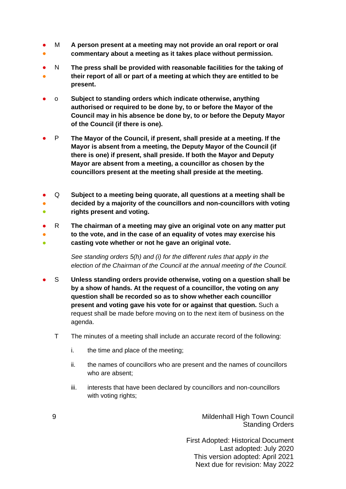- M **A person present at a meeting may not provide an oral report or oral**  ● **commentary about a meeting as it takes place without permission.**
- N **The press shall be provided with reasonable facilities for the taking of their report of all or part of a meeting at which they are entitled to be present.** ●
- o **Subject to standing orders which indicate otherwise, anything authorised or required to be done by, to or before the Mayor of the Council may in his absence be done by, to or before the Deputy Mayor of the Council (if there is one).**
- P **The Mayor of the Council, if present, shall preside at a meeting. If the Mayor is absent from a meeting, the Deputy Mayor of the Council (if there is one) if present, shall preside. If both the Mayor and Deputy Mayor are absent from a meeting, a councillor as chosen by the councillors present at the meeting shall preside at the meeting.**
- Q **Subject to a meeting being quorate, all questions at a meeting shall be decided by a majority of the councillors and non-councillors with voting rights present and voting.** ● ●
- R **The chairman of a meeting may give an original vote on any matter put** to the vote, and in the case of an equality of votes may exercise his ● **casting vote whether or not he gave an original vote.**

*See standing orders 5(h) and (i) for the different rules that apply in the election of the Chairman of the Council at the annual meeting of the Council.*

- S **Unless standing orders provide otherwise, voting on a question shall be by a show of hands. At the request of a councillor, the voting on any question shall be recorded so as to show whether each councillor present and voting gave his vote for or against that question.** Such a request shall be made before moving on to the next item of business on the agenda.
	- T The minutes of a meeting shall include an accurate record of the following:
		- i. the time and place of the meeting;
		- ii. the names of councillors who are present and the names of councillors who are absent;
		- iii. interests that have been declared by councillors and non-councillors with voting rights;

9 Mildenhall High Town Council Standing Orders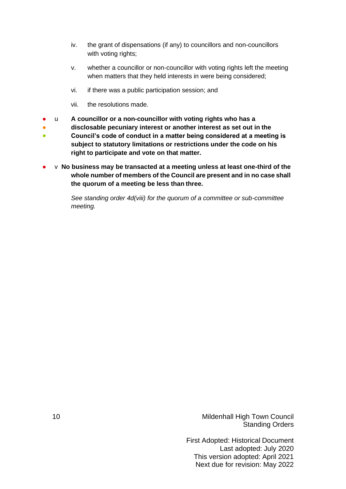- iv. the grant of dispensations (if any) to councillors and non-councillors with voting rights;
- v. whether a councillor or non-councillor with voting rights left the meeting when matters that they held interests in were being considered;
- vi. if there was a public participation session; and
- vii. the resolutions made.
- u **A councillor or a non-councillor with voting rights who has a**
- **disclosable pecuniary interest or another interest as set out in the**
- **Council's code of conduct in a matter being considered at a meeting is subject to statutory limitations or restrictions under the code on his right to participate and vote on that matter.**
- v **No business may be transacted at a meeting unless at least one-third of the whole number of members of the Council are present and in no case shall the quorum of a meeting be less than three.**

*See standing order 4d(viii) for the quorum of a committee or sub-committee meeting.*

10 Mildenhall High Town Council Standing Orders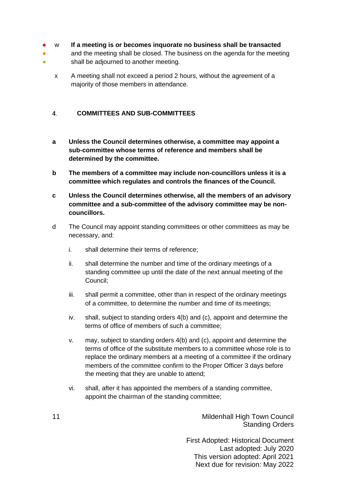#### ● w **If a meeting is or becomes inquorate no business shall be transacted**

- ● and the meeting shall be closed. The business on the agenda for the meeting shall be adjourned to another meeting.
	- x A meeting shall not exceed a period 2 hours, without the agreement of a majority of those members in attendance.

#### <span id="page-10-0"></span> $4.$ **COMMITTEES AND SUB-COMMITTEES**

- **a Unless the Council determines otherwise, a committee may appoint a sub-committee whose terms of reference and members shall be determined by the committee.**
- **b The members of a committee may include non-councillors unless it is a committee which regulates and controls the finances of the Council.**
- **c Unless the Council determines otherwise, all the members of an advisory committee and a sub-committee of the advisory committee may be noncouncillors.**
- d The Council may appoint standing committees or other committees as may be necessary, and:
	- i. shall determine their terms of reference;
	- ii. shall determine the number and time of the ordinary meetings of a standing committee up until the date of the next annual meeting of the Council;
	- iii. shall permit a committee, other than in respect of the ordinary meetings of a committee, to determine the number and time of its meetings;
	- iv. shall, subject to standing orders 4(b) and (c), appoint and determine the terms of office of members of such a committee;
	- v. may, subject to standing orders 4(b) and (c), appoint and determine the terms of office of the substitute members to a committee whose role is to replace the ordinary members at a meeting of a committee if the ordinary members of the committee confirm to the Proper Officer 3 days before the meeting that they are unable to attend;
	- vi. shall, after it has appointed the members of a standing committee, appoint the chairman of the standing committee;

11 Mildenhall High Town Council Standing Orders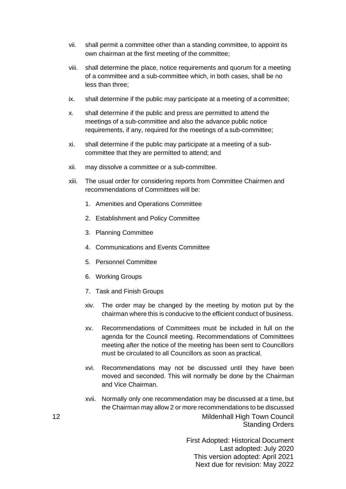- vii. shall permit a committee other than a standing committee, to appoint its own chairman at the first meeting of the committee;
- viii. shall determine the place, notice requirements and quorum for a meeting of a committee and a sub-committee which, in both cases, shall be no less than three;
- ix. shall determine if the public may participate at a meeting of a committee;
- x. shall determine if the public and press are permitted to attend the meetings of a sub-committee and also the advance public notice requirements, if any, required for the meetings of a sub-committee;
- xi. shall determine if the public may participate at a meeting of a subcommittee that they are permitted to attend; and
- xii. may dissolve a committee or a sub-committee.
- xiii. The usual order for considering reports from Committee Chairmen and recommendations of Committees will be:
	- 1. Amenities and Operations Committee
	- 2. Establishment and Policy Committee
	- 3. Planning Committee
	- 4. Communications and Events Committee
	- 5. Personnel Committee
	- 6. Working Groups
	- 7. Task and Finish Groups
	- xiv. The order may be changed by the meeting by motion put by the chairman where this is conducive to the efficient conduct of business.
	- xv. Recommendations of Committees must be included in full on the agenda for the Council meeting. Recommendations of Committees meeting after the notice of the meeting has been sent to Councillors must be circulated to all Councillors as soon as practical.
	- xvi. Recommendations may not be discussed until they have been moved and seconded. This will normally be done by the Chairman and Vice Chairman.
- 12 Mildenhall High Town Council Standing Orders xvii. Normally only one recommendation may be discussed at a time, but the Chairman may allow 2 or more recommendations to be discussed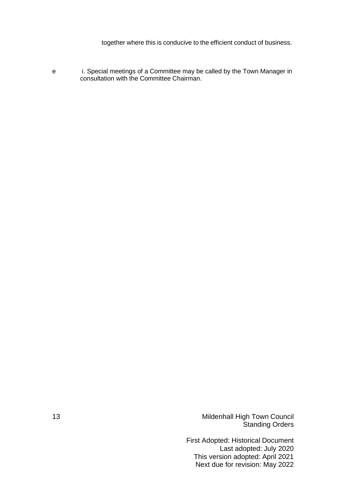together where this is conducive to the efficient conduct of business.

e i. Special meetings of a Committee may be called by the Town Manager in consultation with the Committee Chairman.

13 Mildenhall High Town Council Standing Orders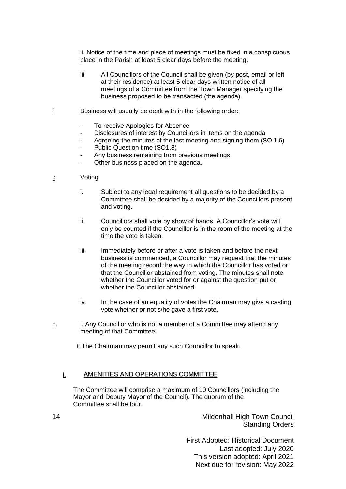ii. Notice of the time and place of meetings must be fixed in a conspicuous place in the Parish at least 5 clear days before the meeting.

- iii. All Councillors of the Council shall be given (by post, email or left at their residence) at least 5 clear days written notice of all meetings of a Committee from the Town Manager specifying the business proposed to be transacted (the agenda).
- f Business will usually be dealt with in the following order:
	- To receive Apologies for Absence
	- Disclosures of interest by Councillors in items on the agenda
	- Agreeing the minutes of the last meeting and signing them (SO 1.6)
	- Public Question time (SO1.8)
	- Any business remaining from previous meetings
	- Other business placed on the agenda.
- g Voting
	- i. Subject to any legal requirement all questions to be decided by a Committee shall be decided by a majority of the Councillors present and voting.
	- ii. Councillors shall vote by show of hands. A Councillor's vote will only be counted if the Councillor is in the room of the meeting at the time the vote is taken.
	- iii. Immediately before or after a vote is taken and before the next business is commenced, a Councillor may request that the minutes of the meeting record the way in which the Councillor has voted or that the Councillor abstained from voting. The minutes shall note whether the Councillor voted for or against the question put or whether the Councillor abstained.
	- iv. In the case of an equality of votes the Chairman may give a casting vote whether or not s/he gave a first vote.
- h. i. Any Councillor who is not a member of a Committee may attend any meeting of that Committee.

ii.The Chairman may permit any such Councillor to speak.

#### i. AMENITIES AND OPERATIONS COMMITTEE

The Committee will comprise a maximum of 10 Councillors (including the Mayor and Deputy Mayor of the Council). The quorum of the Committee shall be four.

14 Mildenhall High Town Council Standing Orders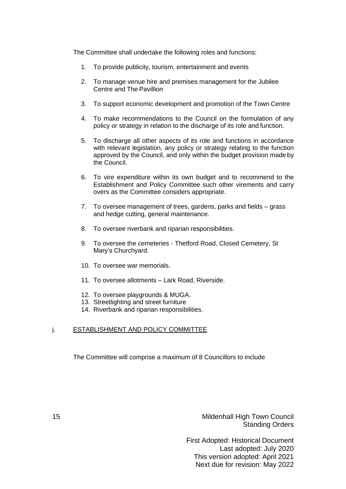The Committee shall undertake the following roles and functions:

- 1. To provide publicity, tourism, entertainment and events
- 2. To manage venue hire and premises management for the Jubilee Centre and The Pavillion
- 3. To support economic development and promotion of the Town Centre
- 4. To make recommendations to the Council on the formulation of any policy or strategy in relation to the discharge of its role and function.
- 5. To discharge all other aspects of its role and functions in accordance with relevant legislation, any policy or strategy relating to the function approved by the Council, and only within the budget provision made by the Council.
- 6. To vire expenditure within its own budget and to recommend to the Establishment and Policy Committee such other virements and carry overs as the Committee considers appropriate.
- 7. To oversee management of trees, gardens, parks and fields grass and hedge cutting, general maintenance.
- 8. To oversee riverbank and riparian responsibilities.
- 9. To oversee the cemeteries Thetford Road, Closed Cemetery, St Mary's Churchyard.
- 10. To oversee war memorials.
- 11. To oversee allotments Lark Road, Riverside.
- 12. To oversee playgrounds & MUGA.
- 13. Streetlighting and street furniture
- 14. Riverbank and riparian responsibilities.

## j. **ESTABLISHMENT AND POLICY COMMITTEE**

The Committee will comprise a maximum of 8 Councillors to include

15 Mildenhall High Town Council Standing Orders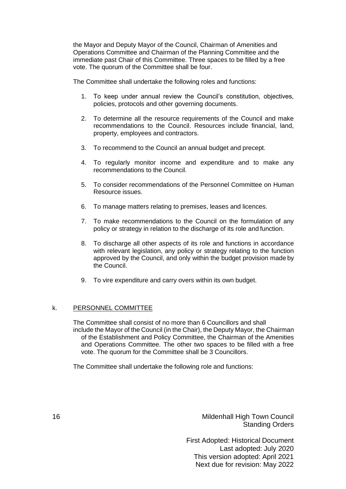the Mayor and Deputy Mayor of the Council, Chairman of Amenities and Operations Committee and Chairman of the Planning Committee and the immediate past Chair of this Committee. Three spaces to be filled by a free vote. The quorum of the Committee shall be four.

The Committee shall undertake the following roles and functions:

- 1. To keep under annual review the Council's constitution, objectives, policies, protocols and other governing documents.
- 2. To determine all the resource requirements of the Council and make recommendations to the Council. Resources include financial, land, property, employees and contractors.
- 3. To recommend to the Council an annual budget and precept.
- 4. To regularly monitor income and expenditure and to make any recommendations to the Council.
- 5. To consider recommendations of the Personnel Committee on Human Resource issues.
- 6. To manage matters relating to premises, leases and licences.
- 7. To make recommendations to the Council on the formulation of any policy or strategy in relation to the discharge of its role and function.
- 8. To discharge all other aspects of its role and functions in accordance with relevant legislation, any policy or strategy relating to the function approved by the Council, and only within the budget provision made by the Council.
- 9. To vire expenditure and carry overs within its own budget.

## k. PERSONNEL COMMITTEE

The Committee shall consist of no more than 6 Councillors and shall include the Mayor of the Council (in the Chair), the Deputy Mayor, the Chairman of the Establishment and Policy Committee, the Chairman of the Amenities and Operations Committee. The other two spaces to be filled with a free vote. The quorum for the Committee shall be 3 Councillors.

The Committee shall undertake the following role and functions:

16 Mildenhall High Town Council Standing Orders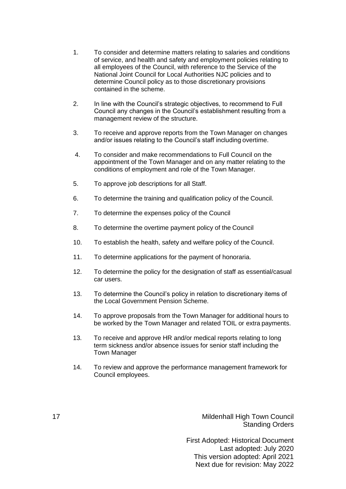- 1. To consider and determine matters relating to salaries and conditions of service, and health and safety and employment policies relating to all employees of the Council, with reference to the Service of the National Joint Council for Local Authorities NJC policies and to determine Council policy as to those discretionary provisions contained in the scheme.
- 2. In line with the Council's strategic objectives, to recommend to Full Council any changes in the Council's establishment resulting from a management review of the structure.
- 3. To receive and approve reports from the Town Manager on changes and/or issues relating to the Council's staff including overtime.
- 4. To consider and make recommendations to Full Council on the appointment of the Town Manager and on any matter relating to the conditions of employment and role of the Town Manager.
- 5. To approve job descriptions for all Staff.
- 6. To determine the training and qualification policy of the Council.
- 7. To determine the expenses policy of the Council
- 8. To determine the overtime payment policy of the Council
- 10. To establish the health, safety and welfare policy of the Council.
- 11. To determine applications for the payment of honoraria.
- 12. To determine the policy for the designation of staff as essential/casual car users.
- 13. To determine the Council's policy in relation to discretionary items of the Local Government Pension Scheme.
- 14. To approve proposals from the Town Manager for additional hours to be worked by the Town Manager and related TOIL or extra payments.
- 13. To receive and approve HR and/or medical reports relating to long term sickness and/or absence issues for senior staff including the Town Manager
- 14. To review and approve the performance management framework for Council employees.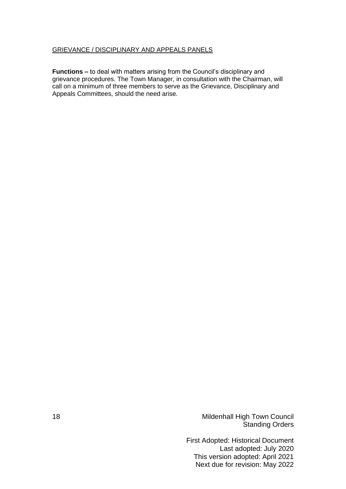## GRIEVANCE / DISCIPLINARY AND APPEALS PANELS

**Functions –** to deal with matters arising from the Council's disciplinary and grievance procedures. The Town Manager, in consultation with the Chairman, will call on a minimum of three members to serve as the Grievance, Disciplinary and Appeals Committees, should the need arise.

18 Mildenhall High Town Council Standing Orders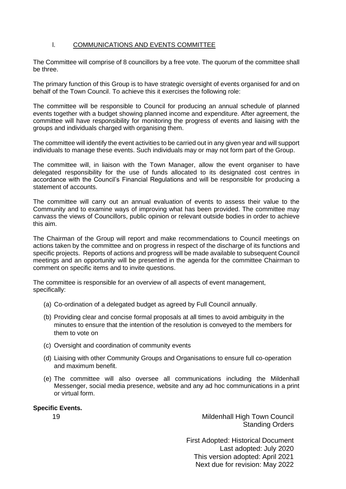## l. COMMUNICATIONS AND EVENTS COMMITTEE

The Committee will comprise of 8 councillors by a free vote. The quorum of the committee shall be three.

The primary function of this Group is to have strategic oversight of events organised for and on behalf of the Town Council. To achieve this it exercises the following role:

The committee will be responsible to Council for producing an annual schedule of planned events together with a budget showing planned income and expenditure. After agreement, the committee will have responsibility for monitoring the progress of events and liaising with the groups and individuals charged with organising them.

The committee will identify the event activities to be carried out in any given year and will support individuals to manage these events. Such individuals may or may not form part of the Group.

The committee will, in liaison with the Town Manager, allow the event organiser to have delegated responsibility for the use of funds allocated to its designated cost centres in accordance with the Council's Financial Regulations and will be responsible for producing a statement of accounts.

The committee will carry out an annual evaluation of events to assess their value to the Community and to examine ways of improving what has been provided. The committee may canvass the views of Councillors, public opinion or relevant outside bodies in order to achieve this aim.

The Chairman of the Group will report and make recommendations to Council meetings on actions taken by the committee and on progress in respect of the discharge of its functions and specific projects. Reports of actions and progress will be made available to subsequent Council meetings and an opportunity will be presented in the agenda for the committee Chairman to comment on specific items and to invite questions.

The committee is responsible for an overview of all aspects of event management, specifically:

- (a) Co-ordination of a delegated budget as agreed by Full Council annually.
- (b) Providing clear and concise formal proposals at all times to avoid ambiguity in the minutes to ensure that the intention of the resolution is conveyed to the members for them to vote on
- (c) Oversight and coordination of community events
- (d) Liaising with other Community Groups and Organisations to ensure full co-operation and maximum benefit.
- (e) The committee will also oversee all communications including the Mildenhall Messenger, social media presence, website and any ad hoc communications in a print or virtual form.

### **Specific Events.**

19 Mildenhall High Town Council Standing Orders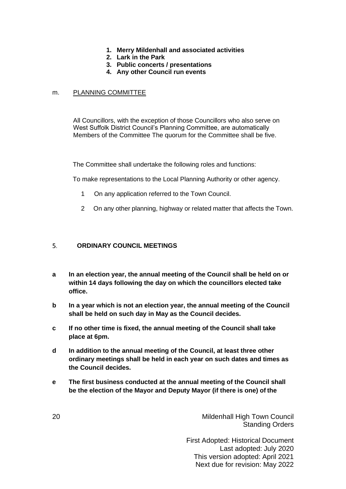- **1. Merry Mildenhall and associated activities**
- **2. Lark in the Park**
- **3. Public concerts / presentations**
- **4. Any other Council run events**

## m. PLANNING COMMITTEE

All Councillors, with the exception of those Councillors who also serve on West Suffolk District Council's Planning Committee, are automatically Members of the Committee The quorum for the Committee shall be five.

The Committee shall undertake the following roles and functions:

To make representations to the Local Planning Authority or other agency.

- 1 On any application referred to the Town Council.
- 2 On any other planning, highway or related matter that affects the Town.

#### <span id="page-19-0"></span> $5<sub>1</sub>$ **ORDINARY COUNCIL MEETINGS**

- **a In an election year, the annual meeting of the Council shall be held on or within 14 days following the day on which the councillors elected take office.**
- **b In a year which is not an election year, the annual meeting of the Council shall be held on such day in May as the Council decides.**
- **c If no other time is fixed, the annual meeting of the Council shall take place at 6pm.**
- **d In addition to the annual meeting of the Council, at least three other ordinary meetings shall be held in each year on such dates and times as the Council decides.**
- **e The first business conducted at the annual meeting of the Council shall be the election of the Mayor and Deputy Mayor (if there is one) of the**

20 Mildenhall High Town Council Standing Orders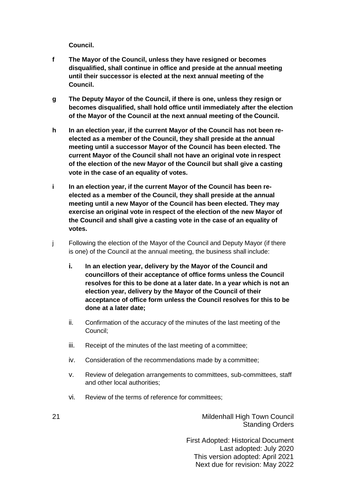**Council.**

- **f The Mayor of the Council, unless they have resigned or becomes disqualified, shall continue in office and preside at the annual meeting until their successor is elected at the next annual meeting of the Council.**
- **g The Deputy Mayor of the Council, if there is one, unless they resign or becomes disqualified, shall hold office until immediately after the election of the Mayor of the Council at the next annual meeting of the Council.**
- **h In an election year, if the current Mayor of the Council has not been reelected as a member of the Council, they shall preside at the annual meeting until a successor Mayor of the Council has been elected. The current Mayor of the Council shall not have an original vote in respect of the election of the new Mayor of the Council but shall give a casting vote in the case of an equality of votes.**
- **i In an election year, if the current Mayor of the Council has been reelected as a member of the Council, they shall preside at the annual meeting until a new Mayor of the Council has been elected. They may exercise an original vote in respect of the election of the new Mayor of the Council and shall give a casting vote in the case of an equality of votes.**
- j Following the election of the Mayor of the Council and Deputy Mayor (if there is one) of the Council at the annual meeting, the business shall include:
	- **i. In an election year, delivery by the Mayor of the Council and councillors of their acceptance of office forms unless the Council resolves for this to be done at a later date. In a year which is not an election year, delivery by the Mayor of the Council of their acceptance of office form unless the Council resolves for this to be done at a later date;**
	- ii. Confirmation of the accuracy of the minutes of the last meeting of the Council;
	- iii. Receipt of the minutes of the last meeting of a committee;
	- iv. Consideration of the recommendations made by a committee;
	- v. Review of delegation arrangements to committees, sub-committees, staff and other local authorities;
	- vi. Review of the terms of reference for committees;

21 Mildenhall High Town Council Standing Orders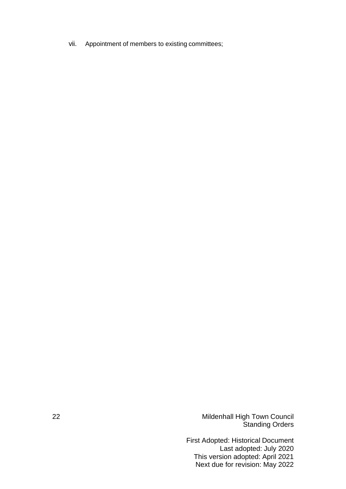vii. Appointment of members to existing committees;

22 Mildenhall High Town Council Standing Orders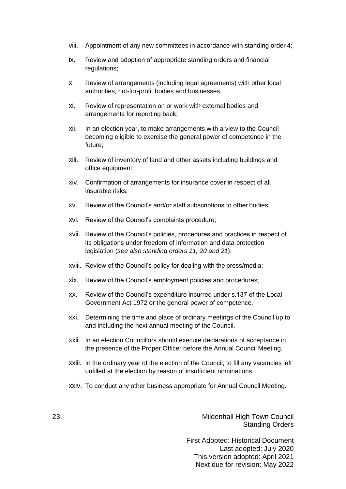- viii. Appointment of any new committees in accordance with standing order 4;
- ix. Review and adoption of appropriate standing orders and financial regulations;
- x. Review of arrangements (including legal agreements) with other local authorities, not-for-profit bodies and businesses.
- xi. Review of representation on or work with external bodies and arrangements for reporting back;
- xii. In an election year, to make arrangements with a view to the Council becoming eligible to exercise the general power of competence in the future;
- xiii. Review of inventory of land and other assets including buildings and office equipment;
- xiv. Confirmation of arrangements for insurance cover in respect of all insurable risks;
- xv. Review of the Council's and/or staff subscriptions to other bodies;
- xvi. Review of the Council's complaints procedure;
- xvii. Review of the Council's policies, procedures and practices in respect of its obligations under freedom of information and data protection legislation (*see also standing orders 11, 20 and 21*);
- xviii. Review of the Council's policy for dealing with the press/media;
- xix. Review of the Council's employment policies and procedures;
- xx. Review of the Council's expenditure incurred under s.137 of the Local Government Act 1972 or the general power of competence.
- xxi. Determining the time and place of ordinary meetings of the Council up to and including the next annual meeting of the Council.
- xxii. In an election Councillors should execute declarations of acceptance in the presence of the Proper Officer before the Annual Council Meeting.
- xxiii. In the ordinary year of the election of the Council, to fill any vacancies left unfilled at the election by reason of insufficient nominations.
- xxiv. To conduct any other business appropriate for Annual Council Meeting.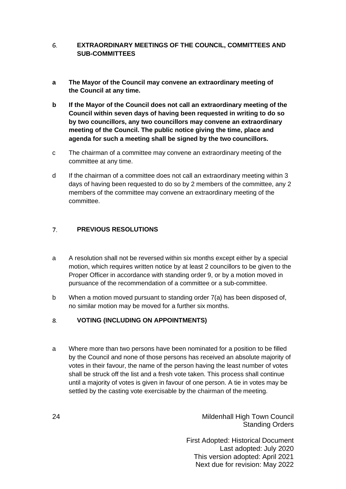#### <span id="page-23-0"></span>6. **EXTRAORDINARY MEETINGS OF THE COUNCIL, COMMITTEES AND SUB-COMMITTEES**

- **a The Mayor of the Council may convene an extraordinary meeting of the Council at any time.**
- **b If the Mayor of the Council does not call an extraordinary meeting of the Council within seven days of having been requested in writing to do so by two councillors, any two councillors may convene an extraordinary meeting of the Council. The public notice giving the time, place and agenda for such a meeting shall be signed by the two councillors.**
- c The chairman of a committee may convene an extraordinary meeting of the committee at any time.
- d If the chairman of a committee does not call an extraordinary meeting within 3 days of having been requested to do so by 2 members of the committee, any 2 members of the committee may convene an extraordinary meeting of the committee.

#### <span id="page-23-1"></span> $7<sub>1</sub>$ **PREVIOUS RESOLUTIONS**

- a A resolution shall not be reversed within six months except either by a special motion, which requires written notice by at least 2 councillors to be given to the Proper Officer in accordance with standing order 9, or by a motion moved in pursuance of the recommendation of a committee or a sub-committee.
- b When a motion moved pursuant to standing order 7(a) has been disposed of, no similar motion may be moved for a further six months.

#### <span id="page-23-2"></span>8. **VOTING (INCLUDING ON APPOINTMENTS)**

a Where more than two persons have been nominated for a position to be filled by the Council and none of those persons has received an absolute majority of votes in their favour, the name of the person having the least number of votes shall be struck off the list and a fresh vote taken. This process shall continue until a majority of votes is given in favour of one person. A tie in votes may be settled by the casting vote exercisable by the chairman of the meeting.

24 Mildenhall High Town Council Standing Orders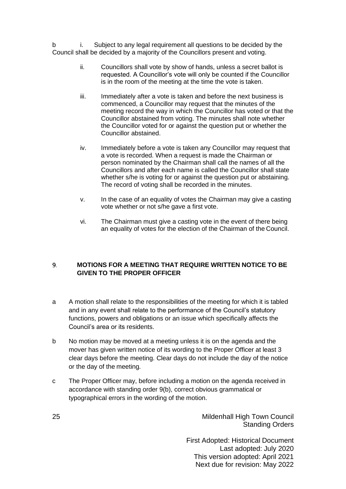b i. Subject to any legal requirement all questions to be decided by the Council shall be decided by a majority of the Councillors present and voting.

- ii. Councillors shall vote by show of hands, unless a secret ballot is requested. A Councillor's vote will only be counted if the Councillor is in the room of the meeting at the time the vote is taken.
- iii. Immediately after a vote is taken and before the next business is commenced, a Councillor may request that the minutes of the meeting record the way in which the Councillor has voted or that the Councillor abstained from voting. The minutes shall note whether the Councillor voted for or against the question put or whether the Councillor abstained.
- iv. Immediately before a vote is taken any Councillor may request that a vote is recorded. When a request is made the Chairman or person nominated by the Chairman shall call the names of all the Councillors and after each name is called the Councillor shall state whether s/he is voting for or against the question put or abstaining. The record of voting shall be recorded in the minutes.
- v. In the case of an equality of votes the Chairman may give a casting vote whether or not s/he gave a first vote.
- vi. The Chairman must give a casting vote in the event of there being an equality of votes for the election of the Chairman of the Council.

#### <span id="page-24-0"></span> $9.$ **MOTIONS FOR A MEETING THAT REQUIRE WRITTEN NOTICE TO BE GIVEN TO THE PROPER OFFICER**

- a A motion shall relate to the responsibilities of the meeting for which it is tabled and in any event shall relate to the performance of the Council's statutory functions, powers and obligations or an issue which specifically affects the Council's area or its residents.
- b No motion may be moved at a meeting unless it is on the agenda and the mover has given written notice of its wording to the Proper Officer at least 3 clear days before the meeting. Clear days do not include the day of the notice or the day of the meeting.
- c The Proper Officer may, before including a motion on the agenda received in accordance with standing order 9(b), correct obvious grammatical or typographical errors in the wording of the motion.

25 Mildenhall High Town Council Standing Orders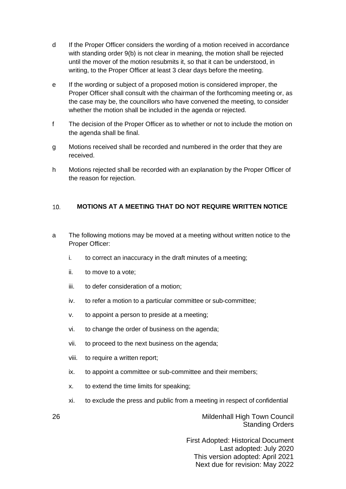- d If the Proper Officer considers the wording of a motion received in accordance with standing order 9(b) is not clear in meaning, the motion shall be rejected until the mover of the motion resubmits it, so that it can be understood, in writing, to the Proper Officer at least 3 clear days before the meeting.
- e If the wording or subject of a proposed motion is considered improper, the Proper Officer shall consult with the chairman of the forthcoming meeting or, as the case may be, the councillors who have convened the meeting, to consider whether the motion shall be included in the agenda or rejected.
- f The decision of the Proper Officer as to whether or not to include the motion on the agenda shall be final.
- g Motions received shall be recorded and numbered in the order that they are received.
- h Motions rejected shall be recorded with an explanation by the Proper Officer of the reason for rejection.

#### <span id="page-25-0"></span>10. **MOTIONS AT A MEETING THAT DO NOT REQUIRE WRITTEN NOTICE**

- a The following motions may be moved at a meeting without written notice to the Proper Officer:
	- i. to correct an inaccuracy in the draft minutes of a meeting;
	- ii. to move to a vote;
	- iii. to defer consideration of a motion;
	- iv. to refer a motion to a particular committee or sub-committee;
	- v. to appoint a person to preside at a meeting;
	- vi. to change the order of business on the agenda;
	- vii. to proceed to the next business on the agenda;
	- viii. to require a written report;
	- ix. to appoint a committee or sub-committee and their members;
	- x. to extend the time limits for speaking;
	- xi. to exclude the press and public from a meeting in respect of confidential

26 Mildenhall High Town Council Standing Orders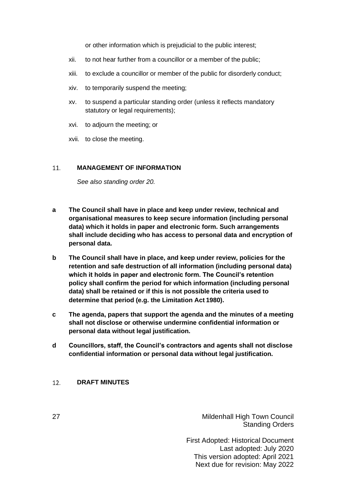or other information which is prejudicial to the public interest;

- xii. to not hear further from a councillor or a member of the public;
- xiii. to exclude a councillor or member of the public for disorderly conduct;
- xiv. to temporarily suspend the meeting;
- xv. to suspend a particular standing order (unless it reflects mandatory statutory or legal requirements);
- xvi. to adjourn the meeting; or
- xvii. to close the meeting.

#### 11. **MANAGEMENT OF INFORMATION**

<span id="page-26-0"></span>*See also standing order 20.*

- **a The Council shall have in place and keep under review, technical and organisational measures to keep secure information (including personal data) which it holds in paper and electronic form. Such arrangements shall include deciding who has access to personal data and encryption of personal data.**
- **b The Council shall have in place, and keep under review, policies for the retention and safe destruction of all information (including personal data) which it holds in paper and electronic form. The Council's retention policy shall confirm the period for which information (including personal data) shall be retained or if this is not possible the criteria used to determine that period (e.g. the Limitation Act 1980).**
- **c The agenda, papers that support the agenda and the minutes of a meeting shall not disclose or otherwise undermine confidential information or personal data without legal justification.**
- **d Councillors, staff, the Council's contractors and agents shall not disclose confidential information or personal data without legal justification.**

#### <span id="page-26-1"></span>12. **DRAFT MINUTES**

27 Mildenhall High Town Council Standing Orders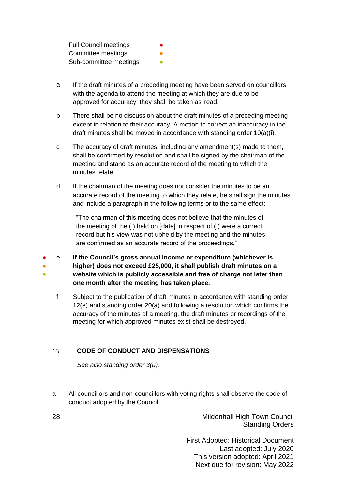Full Council meetings Committee meetings Sub-committee meetings

- a If the draft minutes of a preceding meeting have been served on councillors with the agenda to attend the meeting at which they are due to be approved for accuracy, they shall be taken as read.
- b There shall be no discussion about the draft minutes of a preceding meeting except in relation to their accuracy. A motion to correct an inaccuracy in the draft minutes shall be moved in accordance with standing order 10(a)(i).
- c The accuracy of draft minutes, including any amendment(s) made to them, shall be confirmed by resolution and shall be signed by the chairman of the meeting and stand as an accurate record of the meeting to which the minutes relate.
- d If the chairman of the meeting does not consider the minutes to be an accurate record of the meeting to which they relate, he shall sign the minutes and include a paragraph in the following terms or to the same effect:

"The chairman of this meeting does not believe that the minutes of the meeting of the ( ) held on [date] in respect of ( ) were a correct record but his view was not upheld by the meeting and the minutes are confirmed as an accurate record of the proceedings."

- e **If the Council's gross annual income or expenditure (whichever is higher) does not exceed £25,000, it shall publish draft minutes on a website which is publicly accessible and free of charge not later than one month after the meeting has taken place.** ● ●
	- f Subject to the publication of draft minutes in accordance with standing order 12(e) and standing order 20(a) and following a resolution which confirms the accuracy of the minutes of a meeting, the draft minutes or recordings of the meeting for which approved minutes exist shall be destroyed.

#### 13. **CODE OF CONDUCT AND DISPENSATIONS**

<span id="page-27-0"></span>*See also standing order 3(u).*

a All councillors and non-councillors with voting rights shall observe the code of conduct adopted by the Council.

28 Mildenhall High Town Council Standing Orders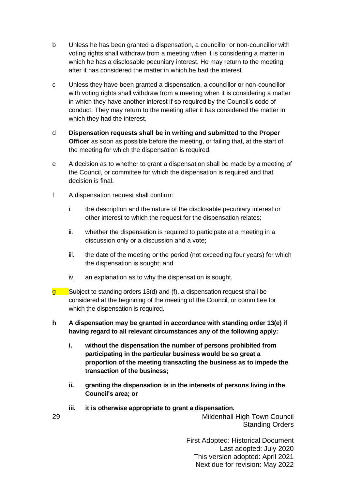- b Unless he has been granted a dispensation, a councillor or non-councillor with voting rights shall withdraw from a meeting when it is considering a matter in which he has a disclosable pecuniary interest. He may return to the meeting after it has considered the matter in which he had the interest.
- c Unless they have been granted a dispensation, a councillor or non-councillor with voting rights shall withdraw from a meeting when it is considering a matter in which they have another interest if so required by the Council's code of conduct. They may return to the meeting after it has considered the matter in which they had the interest.
- d **Dispensation requests shall be in writing and submitted to the Proper Officer** as soon as possible before the meeting, or failing that, at the start of the meeting for which the dispensation is required.
- e A decision as to whether to grant a dispensation shall be made by a meeting of the Council, or committee for which the dispensation is required and that decision is final.
- f A dispensation request shall confirm:
	- i. the description and the nature of the disclosable pecuniary interest or other interest to which the request for the dispensation relates;
	- ii. whether the dispensation is required to participate at a meeting in a discussion only or a discussion and a vote;
	- iii. the date of the meeting or the period (not exceeding four years) for which the dispensation is sought; and
	- iv. an explanation as to why the dispensation is sought.
- Subject to standing orders 13(d) and (f), a dispensation request shall be considered at the beginning of the meeting of the Council, or committee for which the dispensation is required. g i
- **h A dispensation may be granted in accordance with standing order 13(e) if having regard to all relevant circumstances any of the following apply:**
	- **i. without the dispensation the number of persons prohibited from participating in the particular business would be so great a proportion of the meeting transacting the business as to impede the transaction of the business;**
	- **ii. granting the dispensation is in the interests of persons living inthe Council's area; or**
	- **iii. it is otherwise appropriate to grant a dispensation.**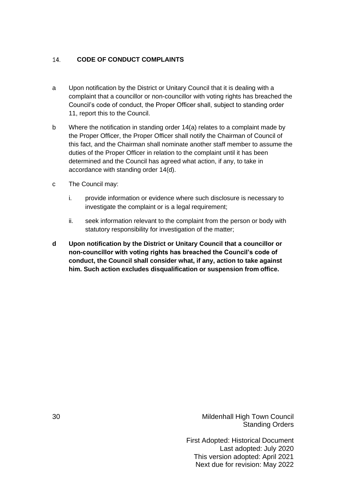#### <span id="page-29-0"></span>14. **CODE OF CONDUCT COMPLAINTS**

- a Upon notification by the District or Unitary Council that it is dealing with a complaint that a councillor or non-councillor with voting rights has breached the Council's code of conduct, the Proper Officer shall, subject to standing order 11, report this to the Council.
- b Where the notification in standing order 14(a) relates to a complaint made by the Proper Officer, the Proper Officer shall notify the Chairman of Council of this fact, and the Chairman shall nominate another staff member to assume the duties of the Proper Officer in relation to the complaint until it has been determined and the Council has agreed what action, if any, to take in accordance with standing order 14(d).
- c The Council may:
	- i. provide information or evidence where such disclosure is necessary to investigate the complaint or is a legal requirement;
	- ii. seek information relevant to the complaint from the person or body with statutory responsibility for investigation of the matter;
- **d Upon notification by the District or Unitary Council that a councillor or non-councillor with voting rights has breached the Council's code of conduct, the Council shall consider what, if any, action to take against him. Such action excludes disqualification or suspension from office.**

30 Mildenhall High Town Council Standing Orders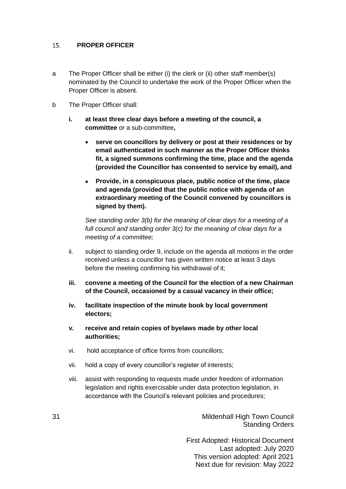#### $15.$ **PROPER OFFICER**

- a The Proper Officer shall be either (i) the clerk or (ii) other staff member(s) nominated by the Council to undertake the work of the Proper Officer when the Proper Officer is absent.
- b The Proper Officer shall:
	- **i. at least three clear days before a meeting of the council, a committee** or a sub-committee**,**
		- **serve on councillors by delivery or post at their residences or by email authenticated in such manner as the Proper Officer thinks fit, a signed summons confirming the time, place and the agenda (provided the Councillor has consented to service by email), and**
		- **Provide, in a conspicuous place, public notice of the time, place and agenda (provided that the public notice with agenda of an extraordinary meeting of the Council convened by councillors is signed by them).**

*See standing order 3(b) for the meaning of clear days for a meeting of a full council and standing order 3(c) for the meaning of clear days for a meeting of a committee;*

- ii. subject to standing order 9, include on the agenda all motions in the order received unless a councillor has given written notice at least 3 days before the meeting confirming his withdrawal of it;
- **iii. convene a meeting of the Council for the election of a new Chairman of the Council, occasioned by a casual vacancy in their office;**
- **iv. facilitate inspection of the minute book by local government electors;**
- **v. receive and retain copies of byelaws made by other local authorities;**
- vi. hold acceptance of office forms from councillors;
- vii. hold a copy of every councillor's register of interests;
- viii. assist with responding to requests made under freedom of information legislation and rights exercisable under data protection legislation, in accordance with the Council's relevant policies and procedures;

31 Mildenhall High Town Council Standing Orders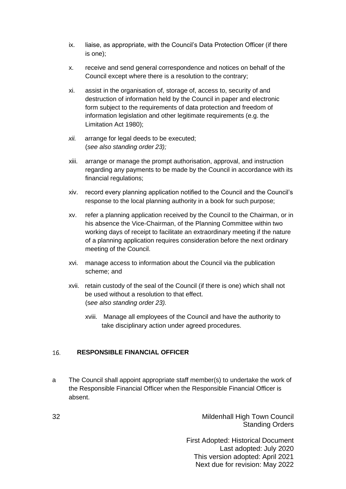- ix. liaise, as appropriate, with the Council's Data Protection Officer (if there is one);
- x. receive and send general correspondence and notices on behalf of the Council except where there is a resolution to the contrary;
- xi. assist in the organisation of, storage of, access to, security of and destruction of information held by the Council in paper and electronic form subject to the requirements of data protection and freedom of information legislation and other legitimate requirements (e.g. the Limitation Act 1980);
- *xii.* arrange for legal deeds to be executed; (*see also standing order 23);*
- xiii. arrange or manage the prompt authorisation, approval, and instruction regarding any payments to be made by the Council in accordance with its financial regulations;
- xiv. record every planning application notified to the Council and the Council's response to the local planning authority in a book for such purpose;
- xv. refer a planning application received by the Council to the Chairman, or in his absence the Vice-Chairman, of the Planning Committee within two working days of receipt to facilitate an extraordinary meeting if the nature of a planning application requires consideration before the next ordinary meeting of the Council.
- xvi. manage access to information about the Council via the publication scheme; and
- xvii. retain custody of the seal of the Council (if there is one) which shall not be used without a resolution to that effect. (s*ee also standing order 23).*
	- xviii. Manage all employees of the Council and have the authority to take disciplinary action under agreed procedures.

#### <span id="page-31-0"></span>16. **RESPONSIBLE FINANCIAL OFFICER**

a The Council shall appoint appropriate staff member(s) to undertake the work of the Responsible Financial Officer when the Responsible Financial Officer is absent.

32 Mildenhall High Town Council Standing Orders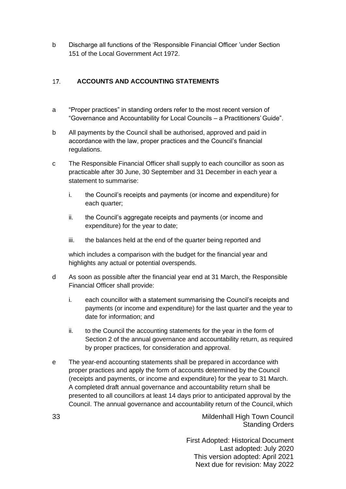b Discharge all functions of the 'Responsible Financial Officer 'under Section 151 of the Local Government Act 1972.

#### <span id="page-32-0"></span> $17.$ **ACCOUNTS AND ACCOUNTING STATEMENTS**

- a "Proper practices" in standing orders refer to the most recent version of "Governance and Accountability for Local Councils – a Practitioners' Guide".
- b All payments by the Council shall be authorised, approved and paid in accordance with the law, proper practices and the Council's financial regulations.
- c The Responsible Financial Officer shall supply to each councillor as soon as practicable after 30 June, 30 September and 31 December in each year a statement to summarise:
	- i. the Council's receipts and payments (or income and expenditure) for each quarter;
	- ii. the Council's aggregate receipts and payments (or income and expenditure) for the year to date;
	- iii. the balances held at the end of the quarter being reported and

which includes a comparison with the budget for the financial year and highlights any actual or potential overspends.

- d As soon as possible after the financial year end at 31 March, the Responsible Financial Officer shall provide:
	- i. each councillor with a statement summarising the Council's receipts and payments (or income and expenditure) for the last quarter and the year to date for information; and
	- ii. to the Council the accounting statements for the year in the form of Section 2 of the annual governance and accountability return, as required by proper practices, for consideration and approval.
- e The year-end accounting statements shall be prepared in accordance with proper practices and apply the form of accounts determined by the Council (receipts and payments, or income and expenditure) for the year to 31 March. A completed draft annual governance and accountability return shall be presented to all councillors at least 14 days prior to anticipated approval by the Council. The annual governance and accountability return of the Council, which

33 Mildenhall High Town Council Standing Orders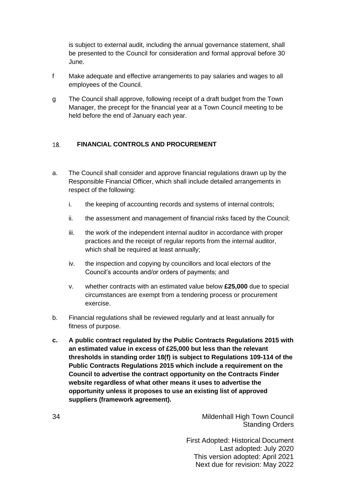is subject to external audit, including the annual governance statement, shall be presented to the Council for consideration and formal approval before 30 June.

- f Make adequate and effective arrangements to pay salaries and wages to all employees of the Council.
- g The Council shall approve, following receipt of a draft budget from the Town Manager, the precept for the financial year at a Town Council meeting to be held before the end of January each year.

#### <span id="page-33-0"></span>**FINANCIAL CONTROLS AND PROCUREMENT** 18.

- a. The Council shall consider and approve financial regulations drawn up by the Responsible Financial Officer, which shall include detailed arrangements in respect of the following:
	- i. the keeping of accounting records and systems of internal controls;
	- ii. the assessment and management of financial risks faced by the Council;
	- iii. the work of the independent internal auditor in accordance with proper practices and the receipt of regular reports from the internal auditor, which shall be required at least annually;
	- iv. the inspection and copying by councillors and local electors of the Council's accounts and/or orders of payments; and
	- v. whether contracts with an estimated value below **£25,000** due to special circumstances are exempt from a tendering process or procurement exercise.
- b. Financial regulations shall be reviewed regularly and at least annually for fitness of purpose.
- **c. A public contract regulated by the Public Contracts Regulations 2015 with an estimated value in excess of £25,000 but less than the relevant thresholds in standing order 18(f) is subject to Regulations 109-114 of the Public Contracts Regulations 2015 which include a requirement on the Council to advertise the contract opportunity on the Contracts Finder website regardless of what other means it uses to advertise the opportunity unless it proposes to use an existing list of approved suppliers (framework agreement).**

34 Mildenhall High Town Council Standing Orders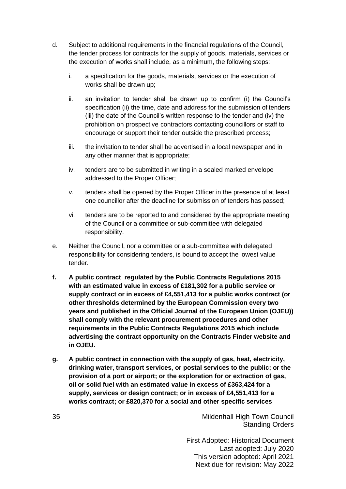- d. Subject to additional requirements in the financial regulations of the Council, the tender process for contracts for the supply of goods, materials, services or the execution of works shall include, as a minimum, the following steps:
	- i. a specification for the goods, materials, services or the execution of works shall be drawn up;
	- ii. an invitation to tender shall be drawn up to confirm (i) the Council's specification (ii) the time, date and address for the submission of tenders (iii) the date of the Council's written response to the tender and (iv) the prohibition on prospective contractors contacting councillors or staff to encourage or support their tender outside the prescribed process;
	- iii. the invitation to tender shall be advertised in a local newspaper and in any other manner that is appropriate;
	- iv. tenders are to be submitted in writing in a sealed marked envelope addressed to the Proper Officer;
	- v. tenders shall be opened by the Proper Officer in the presence of at least one councillor after the deadline for submission of tenders has passed;
	- vi. tenders are to be reported to and considered by the appropriate meeting of the Council or a committee or sub-committee with delegated responsibility.
- e. Neither the Council, nor a committee or a sub-committee with delegated responsibility for considering tenders, is bound to accept the lowest value tender.
- **f. A public contract regulated by the Public Contracts Regulations 2015 with an estimated value in excess of £181,302 for a public service or supply contract or in excess of £4,551,413 for a public works contract (or other thresholds determined by the European Commission every two years and published in the Official Journal of the European Union (OJEU)) shall comply with the relevant procurement procedures and other requirements in the Public Contracts Regulations 2015 which include advertising the contract opportunity on the Contracts Finder website and in OJEU.**
- **g. A public contract in connection with the supply of gas, heat, electricity, drinking water, transport services, or postal services to the public; or the provision of a port or airport; or the exploration for or extraction of gas, oil or solid fuel with an estimated value in excess of £363,424 for a supply, services or design contract; or in excess of £4,551,413 for a works contract; or £820,370 for a social and other specific services**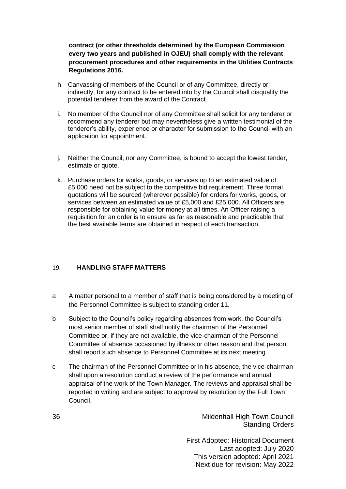**contract (or other thresholds determined by the European Commission every two years and published in OJEU) shall comply with the relevant procurement procedures and other requirements in the Utilities Contracts Regulations 2016.**

- h. Canvassing of members of the Council or of any Committee, directly or indirectly, for any contract to be entered into by the Council shall disqualify the potential tenderer from the award of the Contract.
- i. No member of the Council nor of any Committee shall solicit for any tenderer or recommend any tenderer but may nevertheless give a written testimonial of the tenderer's ability, experience or character for submission to the Council with an application for appointment.
- j. Neither the Council, nor any Committee, is bound to accept the lowest tender, estimate or quote.
- k. Purchase orders for works, goods, or services up to an estimated value of £5,000 need not be subject to the competitive bid requirement. Three formal quotations will be sourced (wherever possible) for orders for works, goods, or services between an estimated value of £5,000 and £25,000. All Officers are responsible for obtaining value for money at all times. An Officer raising a requisition for an order is to ensure as far as reasonable and practicable that the best available terms are obtained in respect of each transaction.

#### <span id="page-35-0"></span>19. **HANDLING STAFF MATTERS**

- a A matter personal to a member of staff that is being considered by a meeting of the Personnel Committee is subject to standing order 11.
- b Subject to the Council's policy regarding absences from work, the Council's most senior member of staff shall notify the chairman of the Personnel Committee or, if they are not available, the vice-chairman of the Personnel Committee of absence occasioned by illness or other reason and that person shall report such absence to Personnel Committee at its next meeting.
- c The chairman of the Personnel Committee or in his absence, the vice-chairman shall upon a resolution conduct a review of the performance and annual appraisal of the work of the Town Manager. The reviews and appraisal shall be reported in writing and are subject to approval by resolution by the Full Town Council.

36 Mildenhall High Town Council Standing Orders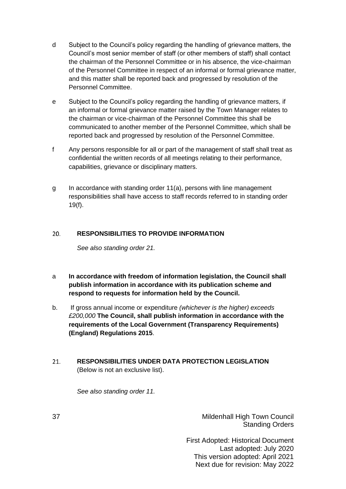- d Subject to the Council's policy regarding the handling of grievance matters, the Council's most senior member of staff (or other members of staff) shall contact the chairman of the Personnel Committee or in his absence, the vice-chairman of the Personnel Committee in respect of an informal or formal grievance matter, and this matter shall be reported back and progressed by resolution of the Personnel Committee.
- e Subject to the Council's policy regarding the handling of grievance matters, if an informal or formal grievance matter raised by the Town Manager relates to the chairman or vice-chairman of the Personnel Committee this shall be communicated to another member of the Personnel Committee, which shall be reported back and progressed by resolution of the Personnel Committee.
- f Any persons responsible for all or part of the management of staff shall treat as confidential the written records of all meetings relating to their performance, capabilities, grievance or disciplinary matters.
- g In accordance with standing order 11(a), persons with line management responsibilities shall have access to staff records referred to in standing order 19(f).

#### $20.$ **RESPONSIBILITIES TO PROVIDE INFORMATION**

<span id="page-36-0"></span>*See also standing order 21.*

- a **In accordance with freedom of information legislation, the Council shall publish information in accordance with its publication scheme and respond to requests for information held by the Council.**
- b. If gross annual income or expenditure *(whichever is the higher) exceeds £200,000* **The Council, shall publish information in accordance with the requirements of the Local Government (Transparency Requirements) (England) Regulations 2015**.
- <span id="page-36-1"></span>**RESPONSIBILITIES UNDER DATA PROTECTION LEGISLATION**  $21.$ (Below is not an exclusive list).

*See also standing order 11.*

37 Mildenhall High Town Council Standing Orders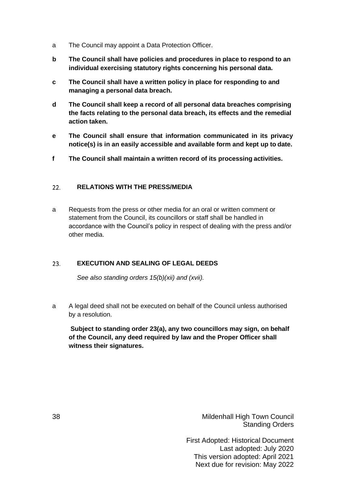- <span id="page-37-2"></span>a The Council may appoint a Data Protection Officer.
- **b The Council shall have policies and procedures in place to respond to an individual exercising statutory rights concerning his personal data.**
- **c The Council shall have a written policy in place for responding to and managing a personal data breach.**
- **d The Council shall keep a record of all personal data breaches comprising the facts relating to the personal data breach, its effects and the remedial action taken.**
- **e The Council shall ensure that information communicated in its privacy notice(s) is in an easily accessible and available form and kept up to date.**
- **f The Council shall maintain a written record of its processing activities.**

#### <span id="page-37-0"></span> $22.$ **RELATIONS WITH THE PRESS/MEDIA**

a Requests from the press or other media for an oral or written comment or statement from the Council, its councillors or staff shall be handled in accordance with the Council's policy in respect of dealing with the press and/or other media.

#### $23.$ **EXECUTION AND SEALING OF LEGAL DEEDS**

<span id="page-37-1"></span>*See also standing orders 15(b)(xii) and (xvii).*

a A legal deed shall not be executed on behalf of the Council unless authorised by a resolution.

**Subject to standing order 23(a), any two councillors may sign, on behalf of the Council, any deed required by law and the Proper Officer shall witness their signatures.**

38 Mildenhall High Town Council Standing Orders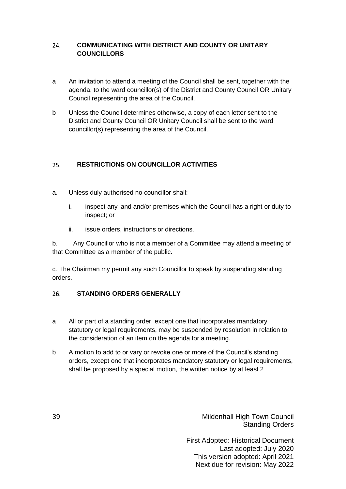#### **COMMUNICATING WITH DISTRICT AND COUNTY OR UNITARY**  24. **COUNCILLORS**

- a An invitation to attend a meeting of the Council shall be sent, together with the agenda, to the ward councillor(s) of the District and County Council OR Unitary Council representing the area of the Council.
- b Unless the Council determines otherwise, a copy of each letter sent to the District and County Council OR Unitary Council shall be sent to the ward councillor(s) representing the area of the Council.

#### <span id="page-38-0"></span> $25.$ **RESTRICTIONS ON COUNCILLOR ACTIVITIES**

- a. Unless duly authorised no councillor shall:
	- i. inspect any land and/or premises which the Council has a right or duty to inspect; or
	- ii. issue orders, instructions or directions.

b. Any Councillor who is not a member of a Committee may attend a meeting of that Committee as a member of the public.

c. The Chairman my permit any such Councillor to speak by suspending standing orders.

#### <span id="page-38-1"></span> $26.$ **STANDING ORDERS GENERALLY**

- a All or part of a standing order, except one that incorporates mandatory statutory or legal requirements, may be suspended by resolution in relation to the consideration of an item on the agenda for a meeting.
- b A motion to add to or vary or revoke one or more of the Council's standing orders, except one that incorporates mandatory statutory or legal requirements, shall be proposed by a special motion, the written notice by at least 2

39 Mildenhall High Town Council Standing Orders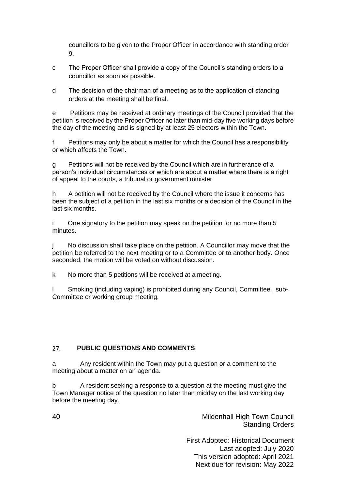councillors to be given to the Proper Officer in accordance with standing order 9.

- c The Proper Officer shall provide a copy of the Council's standing orders to a councillor as soon as possible.
- d The decision of the chairman of a meeting as to the application of standing orders at the meeting shall be final.

e Petitions may be received at ordinary meetings of the Council provided that the petition is received by the Proper Officer no later than mid-day five working days before the day of the meeting and is signed by at least 25 electors within the Town.

f Petitions may only be about a matter for which the Council has a responsibility or which affects the Town.

g Petitions will not be received by the Council which are in furtherance of a person's individual circumstances or which are about a matter where there is a right of appeal to the courts, a tribunal or government minister.

h A petition will not be received by the Council where the issue it concerns has been the subject of a petition in the last six months or a decision of the Council in the last six months.

i One signatory to the petition may speak on the petition for no more than 5 minutes.

j No discussion shall take place on the petition. A Councillor may move that the petition be referred to the next meeting or to a Committee or to another body. Once seconded, the motion will be voted on without discussion.

k No more than 5 petitions will be received at a meeting.

l Smoking (including vaping) is prohibited during any Council, Committee , sub-Committee or working group meeting.

#### $27.$ **PUBLIC QUESTIONS AND COMMENTS**

a Any resident within the Town may put a question or a comment to the meeting about a matter on an agenda.

b A resident seeking a response to a question at the meeting must give the Town Manager notice of the question no later than midday on the last working day before the meeting day.

40 Mildenhall High Town Council Standing Orders